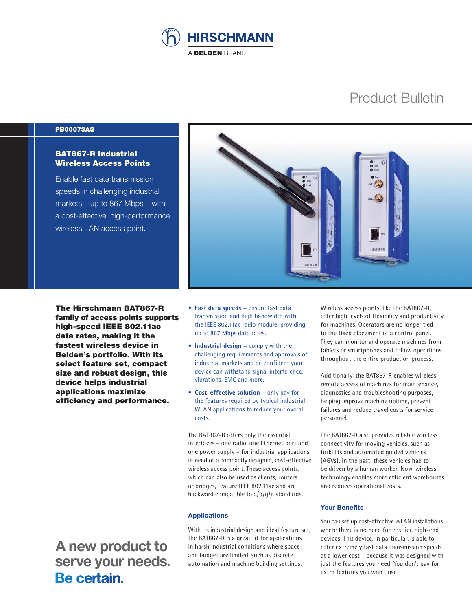

# Product Bulletin

#### PB00073AG

## BAT867-R Industrial Wireless Access Points

Enable fast data transmission speeds in challenging industrial markets – up to 867 Mbps – with a cost-effective, high-performance wireless LAN access point.



The Hirschmann BAT867-R family of access points supports high-speed IEEE 802.11ac data rates, making it the fastest wireless device in Belden's portfolio. With its select feature set, compact size and robust design, this device helps industrial applications maximize efficiency and performance.

 **A new product to serve your needs.**<br>**Be certain**.

- **Fast data speeds –** ensure fast data transmission and high bandwidth with the IEEE 802.11ac radio module, providing up to 867 Mbps data rates.
- **Industrial design –** comply with the challenging requirements and approvals of industrial markets and be confident your device can withstand signal interference, vibrations, EMC and more.
- **Cost-effective solution –** only pay for the features required by typical industrial WLAN applications to reduce your overall costs.

The BAT867-R offers only the essential interfaces – one radio, one Ethernet port and one power supply – for industrial applications in need of a compactly designed, cost-effective wireless access point. These access points, which can also be used as clients, routers or bridges, feature IEEE 802.11ac and are backward compatible to a/b/g/n standards.

#### **Applications**

With its industrial design and ideal feature set, the BAT867-R is a great fit for applications in harsh industrial conditions where space and budget are limited, such as discrete automation and machine building settings.

Wireless access points, like the BAT867-R, offer high levels of flexibility and productivity for machines. Operators are no longer tied to the fixed placement of a control panel. They can monitor and operate machines from tablets or smartphones and follow operations throughout the entire production process.

Additionally, the BAT867-R enables wireless remote access of machines for maintenance, diagnostics and troubleshooting purposes, helping improve machine uptime, prevent failures and reduce travel costs for service personnel.

The BAT867-R also provides reliable wireless connectivity for moving vehicles, such as forklifts and automated guided vehicles (AGVs). In the past, these vehicles had to be driven by a human worker. Now, wireless technology enables more efficient warehouses and reduces operational costs.

### **Your Benefits**

You can set up cost-effective WLAN installations where there is no need for costlier, high-end devices. This device, in particular, is able to offer extremely fast data transmission speeds at a lower cost – because it was designed with just the features you need. You don't pay for extra features you won't use.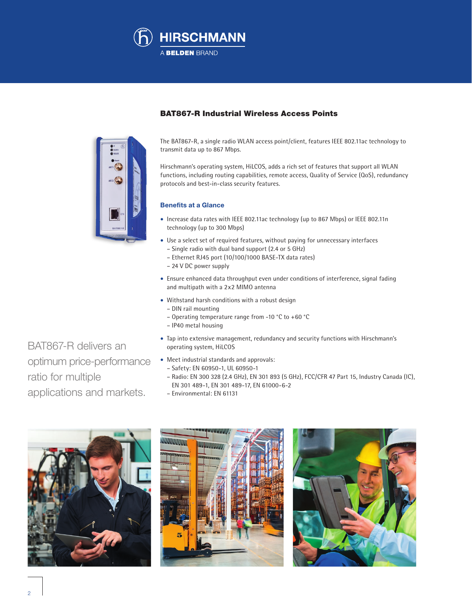



## BAT867-R Industrial Wireless Access Points

The BAT867-R, a single radio WLAN access point/client, features IEEE 802.11ac technology to transmit data up to 867 Mbps.

Hirschmann's operating system, HiLCOS, adds a rich set of features that support all WLAN functions, including routing capabilities, remote access, Quality of Service (QoS), redundancy protocols and best-in-class security features.

## **Benefits at a Glance**

- Increase data rates with IEEE 802.11ac technology (up to 867 Mbps) or IEEE 802.11n technology (up to 300 Mbps)
- Use a select set of required features, without paying for unnecessary interfaces – Single radio with dual band support (2.4 or 5 GHz)
	- Ethernet RJ45 port (10/100/1000 BASE-TX data rates)
	- 24 V DC power supply
- Ensure enhanced data throughput even under conditions of interference, signal fading and multipath with a 2x2 MIMO antenna
- Withstand harsh conditions with a robust design
	- DIN rail mounting
	- Operating temperature range from -10 °C to +60 °C
	- IP40 metal housing
- Tap into extensive management, redundancy and security functions with Hirschmann's operating system, HiLCOS
- Meet industrial standards and approvals:
	- Safety: EN 60950-1, UL 60950-1
	- Radio: EN 300 328 (2.4 GHz), EN 301 893 (5 GHz), FCC/CFR 47 Part 15, Industry Canada (IC), EN 301 489-1, EN 301 489-17, EN 61000-6-2
	- Environmental: EN 61131







BAT867-R delivers an optimum price-performance ratio for multiple applications and markets.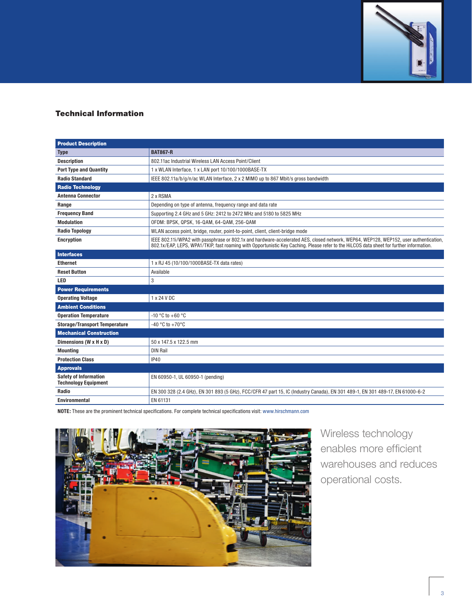

# Technical Information

| <b>Product Description</b>                                  |                                                                                                                                                                                                                                                                                   |
|-------------------------------------------------------------|-----------------------------------------------------------------------------------------------------------------------------------------------------------------------------------------------------------------------------------------------------------------------------------|
| <b>Type</b>                                                 | <b>BAT867-R</b>                                                                                                                                                                                                                                                                   |
| <b>Description</b>                                          | 802.11ac Industrial Wireless LAN Access Point/Client                                                                                                                                                                                                                              |
| <b>Port Type and Quantity</b>                               | 1 x WLAN Interface. 1 x LAN port 10/100/1000BASE-TX                                                                                                                                                                                                                               |
| <b>Radio Standard</b>                                       | IEEE 802.11a/b/g/n/ac WLAN Interface, 2 x 2 MIMO up to 867 Mbit/s gross bandwidth                                                                                                                                                                                                 |
| <b>Radio Technology</b>                                     |                                                                                                                                                                                                                                                                                   |
| <b>Antenna Connector</b>                                    | 2 x RSMA                                                                                                                                                                                                                                                                          |
| Range                                                       | Depending on type of antenna, frequency range and data rate                                                                                                                                                                                                                       |
| <b>Frequency Band</b>                                       | Supporting 2.4 GHz and 5 GHz: 2412 to 2472 MHz and 5180 to 5825 MHz                                                                                                                                                                                                               |
| <b>Modulation</b>                                           | OFDM: BPSK, QPSK, 16-QAM, 64-QAM, 256-QAM                                                                                                                                                                                                                                         |
| <b>Radio Topology</b>                                       | WLAN access point, bridge, router, point-to-point, client, client-bridge mode                                                                                                                                                                                                     |
| <b>Encryption</b>                                           | IEEE 802.11i/WPA2 with passphrase or 802.1x and hardware-accelerated AES, closed network, WEP64, WEP128, WEP152, user authentication,<br>802.1x/EAP, LEPS, WPA1/TKIP, fast roaming with Opportunistic Key Caching. Please refer to the HiLCOS data sheet for further information. |
| <b>Interfaces</b>                                           |                                                                                                                                                                                                                                                                                   |
| <b>Ethernet</b>                                             | 1 x RJ 45 (10/100/1000BASE-TX data rates)                                                                                                                                                                                                                                         |
| <b>Reset Button</b>                                         | Available                                                                                                                                                                                                                                                                         |
| <b>LED</b>                                                  | 3                                                                                                                                                                                                                                                                                 |
| <b>Power Requirements</b>                                   |                                                                                                                                                                                                                                                                                   |
| <b>Operating Voltage</b>                                    | 1 x 24 V DC                                                                                                                                                                                                                                                                       |
| <b>Ambient Conditions</b>                                   |                                                                                                                                                                                                                                                                                   |
| <b>Operation Temperature</b>                                | $-10$ °C to $+60$ °C                                                                                                                                                                                                                                                              |
| <b>Storage/Transport Temperature</b>                        | -40 °C to +70 °C                                                                                                                                                                                                                                                                  |
| <b>Mechanical Construction</b>                              |                                                                                                                                                                                                                                                                                   |
| Dimensions (W x H x D)                                      | 50 x 147.5 x 122.5 mm                                                                                                                                                                                                                                                             |
| <b>Mounting</b>                                             | <b>DIN Rail</b>                                                                                                                                                                                                                                                                   |
| <b>Protection Class</b>                                     | <b>IP40</b>                                                                                                                                                                                                                                                                       |
| <b>Approvals</b>                                            |                                                                                                                                                                                                                                                                                   |
| <b>Safety of Information</b><br><b>Technology Equipment</b> | EN 60950-1, UL 60950-1 (pending)                                                                                                                                                                                                                                                  |
| Radio                                                       | EN 300 328 (2.4 GHz), EN 301 893 (5 GHz), FCC/CFR 47 part 15, IC (Industry Canada), EN 301 489-1, EN 301 489-17, EN 61000-6-2                                                                                                                                                     |
| <b>Environmental</b>                                        | EN 61131                                                                                                                                                                                                                                                                          |

**NOTE:** These are the prominent technical specifications. For complete technical specifications visit: www.hirschmann.com



Wireless technology enables more efficient warehouses and reduces operational costs.